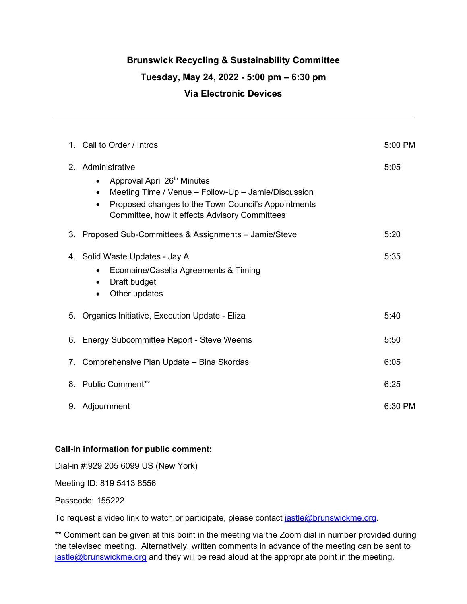### **Brunswick Recycling & Sustainability Committee**

#### **Tuesday, May 24, 2022 - 5:00 pm – 6:30 pm**

### **Via Electronic Devices**

| $1_{-}$ | Call to Order / Intros                                                                                                                                                                                                                                             | 5:00 PM |
|---------|--------------------------------------------------------------------------------------------------------------------------------------------------------------------------------------------------------------------------------------------------------------------|---------|
|         | 2. Administrative<br>Approval April 26 <sup>th</sup> Minutes<br>$\bullet$<br>Meeting Time / Venue - Follow-Up - Jamie/Discussion<br>$\bullet$<br>Proposed changes to the Town Council's Appointments<br>$\bullet$<br>Committee, how it effects Advisory Committees | 5:05    |
| 3.      | Proposed Sub-Committees & Assignments - Jamie/Steve                                                                                                                                                                                                                | 5:20    |
|         | 4. Solid Waste Updates - Jay A<br>Ecomaine/Casella Agreements & Timing<br>$\bullet$<br>Draft budget<br>$\bullet$<br>Other updates                                                                                                                                  | 5:35    |
| 5.      | Organics Initiative, Execution Update - Eliza                                                                                                                                                                                                                      | 5:40    |
| 6.      | Energy Subcommittee Report - Steve Weems                                                                                                                                                                                                                           | 5:50    |
| 7.      | Comprehensive Plan Update - Bina Skordas                                                                                                                                                                                                                           | 6:05    |
| 8.      | <b>Public Comment**</b>                                                                                                                                                                                                                                            | 6:25    |
| 9.      | Adjournment                                                                                                                                                                                                                                                        | 6:30 PM |

#### **Call-in information for public comment:**

Dial-in #:929 205 6099 US (New York)

Meeting ID: 819 5413 8556

Passcode: 155222

To request a video link to watch or participate, please contact [jastle@brunswickme.org.](mailto:jastle@brunswickme.org)

\*\* Comment can be given at this point in the meeting via the Zoom dial in number provided during the televised meeting. Alternatively, written comments in advance of the meeting can be sent to [jastle@brunswickme.org](mailto:jastle@brunswickme.org) and they will be read aloud at the appropriate point in the meeting.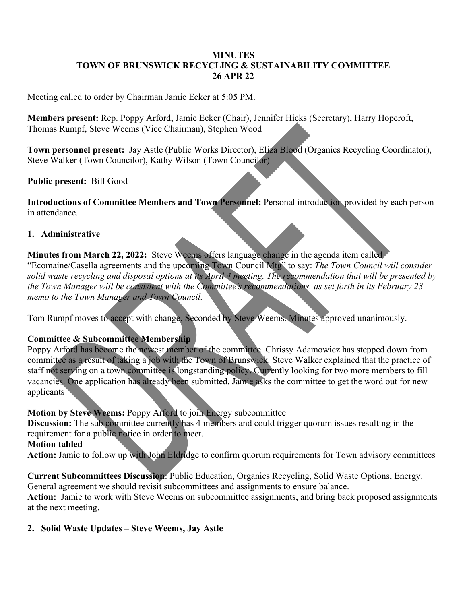### **MINUTES TOWN OF BRUNSWICK RECYCLING & SUSTAINABILITY COMMITTEE 26 APR 22**

Meeting called to order by Chairman Jamie Ecker at 5:05 PM.

**Members present:** Rep. Poppy Arford, Jamie Ecker (Chair), Jennifer Hicks (Secretary), Harry Hopcroft, Thomas Rumpf, Steve Weems (Vice Chairman), Stephen Wood

**Town personnel present:** Jay Astle (Public Works Director), Eliza Blood (Organics Recycling Coordinator), Steve Walker (Town Councilor), Kathy Wilson (Town Councilor)

**Public present:** Bill Good

**Introductions of Committee Members and Town Personnel:** Personal introduction provided by each person in attendance.

### **1. Administrative**

**Minutes from March 22, 2022:** Steve Weems offers language change in the agenda item called "Ecomaine/Casella agreements and the upcoming Town Council Mtg" to say: *The Town Council will consider solid waste recycling and disposal options at its April 4 meeting. The recommendation that will be presented by the Town Manager will be consistent with the Committee's recommendations, as set forth in its February 23 memo to the Town Manager and Town Council.*

Tom Rumpf moves to accept with change, Seconded by Steve Weems. Minutes approved unanimously.

### **Committee & Subcommittee Membership**

Poppy Arford has become the newest member of the committee. Chrissy Adamowicz has stepped down from committee as a result of taking a job with the Town of Brunswick. Steve Walker explained that the practice of staff not serving on a town committee is longstanding policy. Currently looking for two more members to fill vacancies. One application has already been submitted. Jamie asks the committee to get the word out for new applicants

### **Motion by Steve Weems:** Poppy Arford to join Energy subcommittee

**Discussion:** The sub committee currently has 4 members and could trigger quorum issues resulting in the requirement for a public notice in order to meet.

### **Motion tabled**

**Action:** Jamie to follow up with John Eldridge to confirm quorum requirements for Town advisory committees

**Current Subcommittees Discussion**: Public Education, Organics Recycling, Solid Waste Options, Energy. General agreement we should revisit subcommittees and assignments to ensure balance.

**Action:** Jamie to work with Steve Weems on subcommittee assignments, and bring back proposed assignments at the next meeting.

### **2. Solid Waste Updates – Steve Weems, Jay Astle**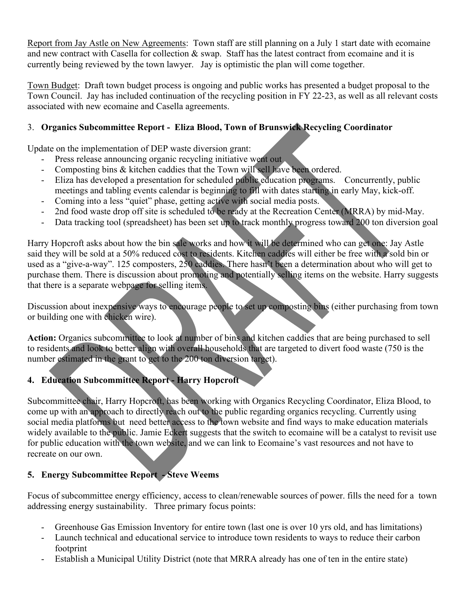Report from Jay Astle on New Agreements: Town staff are still planning on a July 1 start date with ecomaine and new contract with Casella for collection & swap. Staff has the latest contract from ecomaine and it is currently being reviewed by the town lawyer. Jay is optimistic the plan will come together.

Town Budget: Draft town budget process is ongoing and public works has presented a budget proposal to the Town Council. Jay has included continuation of the recycling position in FY 22-23, as well as all relevant costs associated with new ecomaine and Casella agreements.

## 3. **Organics Subcommittee Report - Eliza Blood, Town of Brunswick Recycling Coordinator**

Update on the implementation of DEP waste diversion grant:

- Press release announcing organic recycling initiative went out
- Composting bins & kitchen caddies that the Town will sell have been ordered.
- Eliza has developed a presentation for scheduled public education programs. Concurrently, public meetings and tabling events calendar is beginning to fill with dates starting in early May, kick-off.
- Coming into a less "quiet" phase, getting active with social media posts.
- 2nd food waste drop off site is scheduled to be ready at the Recreation Center (MRRA) by mid-May.
- Data tracking tool (spreadsheet) has been set up to track monthly progress toward 200 ton diversion goal

Harry Hopcroft asks about how the bin sale works and how it will be determined who can get one: Jay Astle said they will be sold at a 50% reduced cost to residents. Kitchen caddies will either be free with a sold bin or used as a "give-a-way". 125 composters, 250 caddies. There hasn't been a determination about who will get to purchase them. There is discussion about promoting and potentially selling items on the website. Harry suggests that there is a separate webpage for selling items.

Discussion about inexpensive ways to encourage people to set up composting bins (either purchasing from town or building one with chicken wire).

**Action:** Organics subcommittee to look at number of bins and kitchen caddies that are being purchased to sell to residents and look to better align with overall households that are targeted to divert food waste (750 is the number estimated in the grant to get to the 200 ton diversion target).

## **4. Education Subcommittee Report - Harry Hopcroft**

Subcommittee chair, Harry Hopcroft, has been working with Organics Recycling Coordinator, Eliza Blood, to come up with an approach to directly reach out to the public regarding organics recycling. Currently using social media platforms but need better access to the town website and find ways to make education materials widely available to the public. Jamie Eckert suggests that the switch to ecomaine will be a catalyst to revisit use for public education with the town website, and we can link to Ecomaine's vast resources and not have to recreate on our own.

## **5. Energy Subcommittee Report - Steve Weems**

Focus of subcommittee energy efficiency, access to clean/renewable sources of power. fills the need for a town addressing energy sustainability. Three primary focus points:

- Greenhouse Gas Emission Inventory for entire town (last one is over 10 yrs old, and has limitations)
- Launch technical and educational service to introduce town residents to ways to reduce their carbon footprint
- Establish a Municipal Utility District (note that MRRA already has one of ten in the entire state)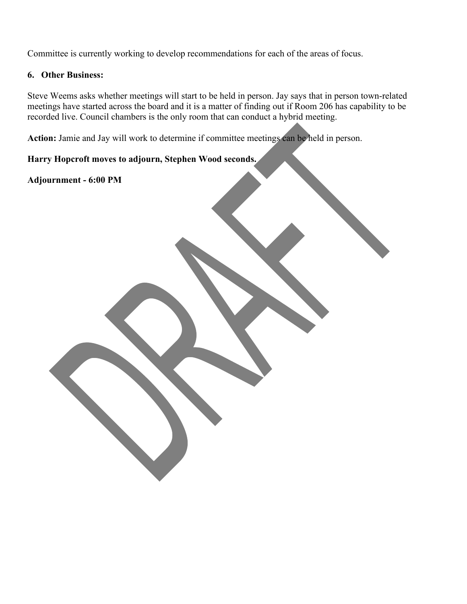Committee is currently working to develop recommendations for each of the areas of focus.

#### **6. Other Business:**

Steve Weems asks whether meetings will start to be held in person. Jay says that in person town-related meetings have started across the board and it is a matter of finding out if Room 206 has capability to be recorded live. Council chambers is the only room that can conduct a hybrid meeting.

**Action:** Jamie and Jay will work to determine if committee meetings can be held in person.

**Harry Hopcroft moves to adjourn, Stephen Wood seconds.**

**Adjournment - 6:00 PM**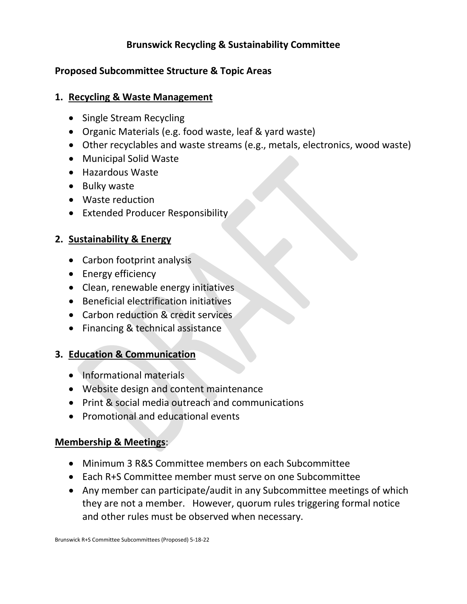# **Brunswick Recycling & Sustainability Committee**

## **Proposed Subcommittee Structure & Topic Areas**

### **1. Recycling & Waste Management**

- Single Stream Recycling
- Organic Materials (e.g. food waste, leaf & yard waste)
- Other recyclables and waste streams (e.g., metals, electronics, wood waste)
- Municipal Solid Waste
- Hazardous Waste
- Bulky waste
- Waste reduction
- Extended Producer Responsibility

## **2. Sustainability & Energy**

- Carbon footprint analysis
- Energy efficiency
- Clean, renewable energy initiatives
- Beneficial electrification initiatives
- Carbon reduction & credit services
- Financing & technical assistance

# **3. Education & Communication**

- Informational materials
- Website design and content maintenance
- Print & social media outreach and communications
- Promotional and educational events

## **Membership & Meetings**:

- Minimum 3 R&S Committee members on each Subcommittee
- Each R+S Committee member must serve on one Subcommittee
- Any member can participate/audit in any Subcommittee meetings of which they are not a member. However, quorum rules triggering formal notice and other rules must be observed when necessary.